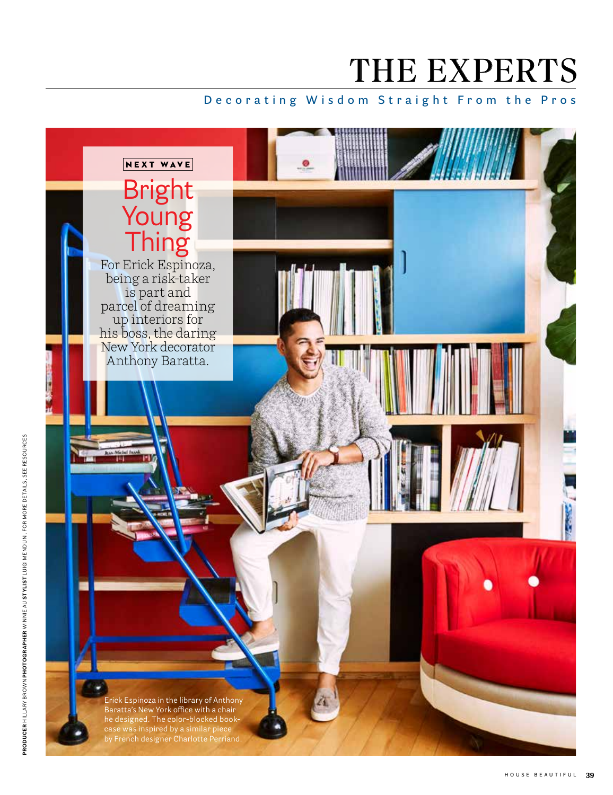# THE EXPERTS

### **Decorating Wisdom Straight From the Pros**